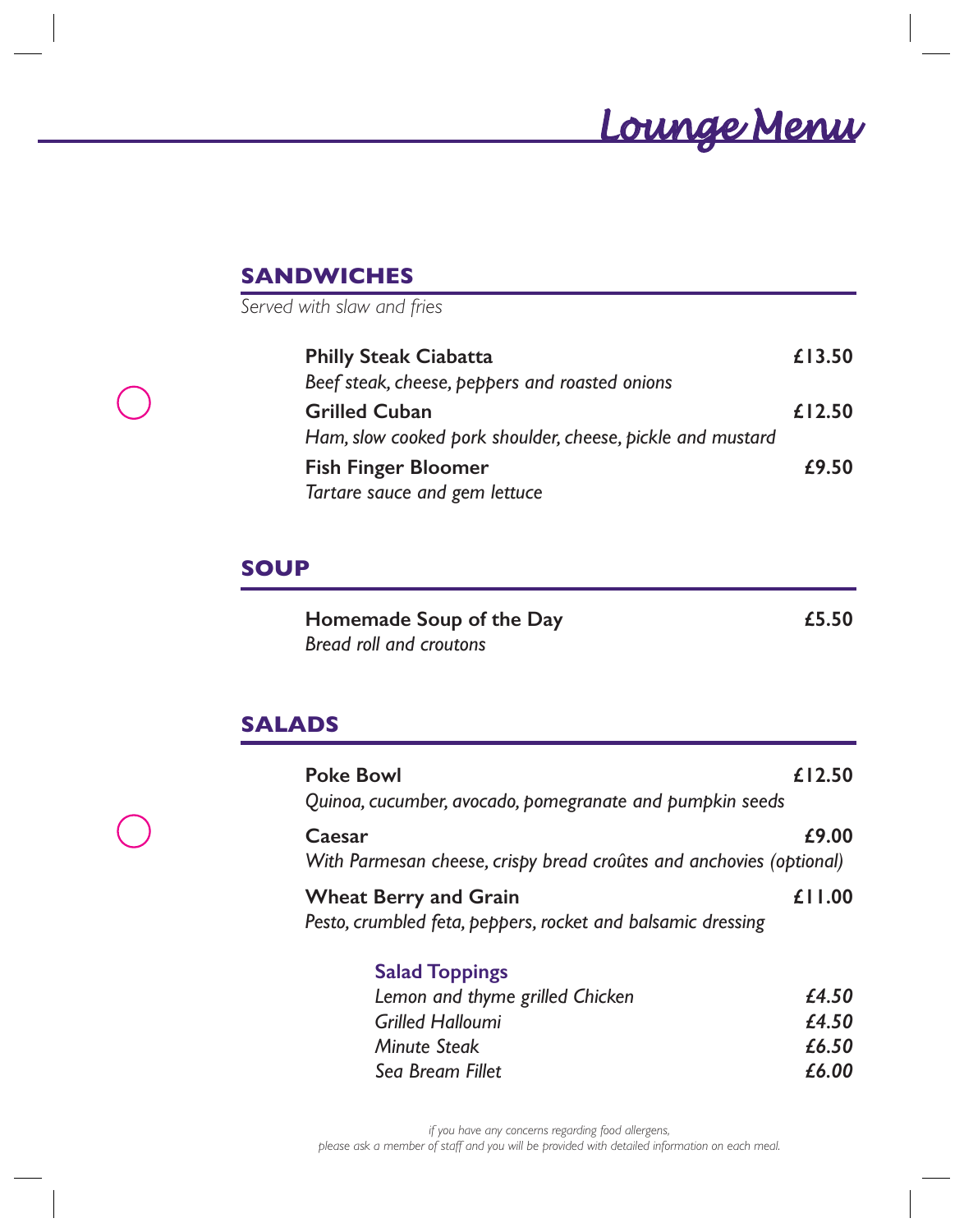## *Lounge Menu*

## **SANDWICHES**

*Served with slaw and fries*

| <b>Philly Steak Ciabatta</b>                               | £13.50 |
|------------------------------------------------------------|--------|
| Beef steak, cheese, peppers and roasted onions             |        |
| <b>Grilled Cuban</b>                                       | £12.50 |
| Ham, slow cooked pork shoulder, cheese, pickle and mustard |        |
| <b>Fish Finger Bloomer</b>                                 | £9.50  |
| Tartare sauce and gem lettuce                              |        |

#### **SOUP**

| Homemade Soup of the Day | £5.50 |
|--------------------------|-------|
| Bread roll and croutons  |       |

#### **SALADS**

| <b>Poke Bowl</b>                                                                            | £12.50 |
|---------------------------------------------------------------------------------------------|--------|
| Quinoa, cucumber, avocado, pomegranate and pumpkin seeds                                    |        |
| Caesar<br>With Parmesan cheese, crispy bread croûtes and anchovies (optional)               | £9.00  |
| <b>Wheat Berry and Grain</b><br>Pesto, crumbled feta, peppers, rocket and balsamic dressing | £11.00 |
| <b>Salad Toppings</b>                                                                       |        |

| £4.50 |
|-------|
| £4.50 |
| £6.50 |
| £6.00 |
|       |

*if you have any concerns regarding food allergens, please ask a member of staff and you will be provided with detailed information on each meal.*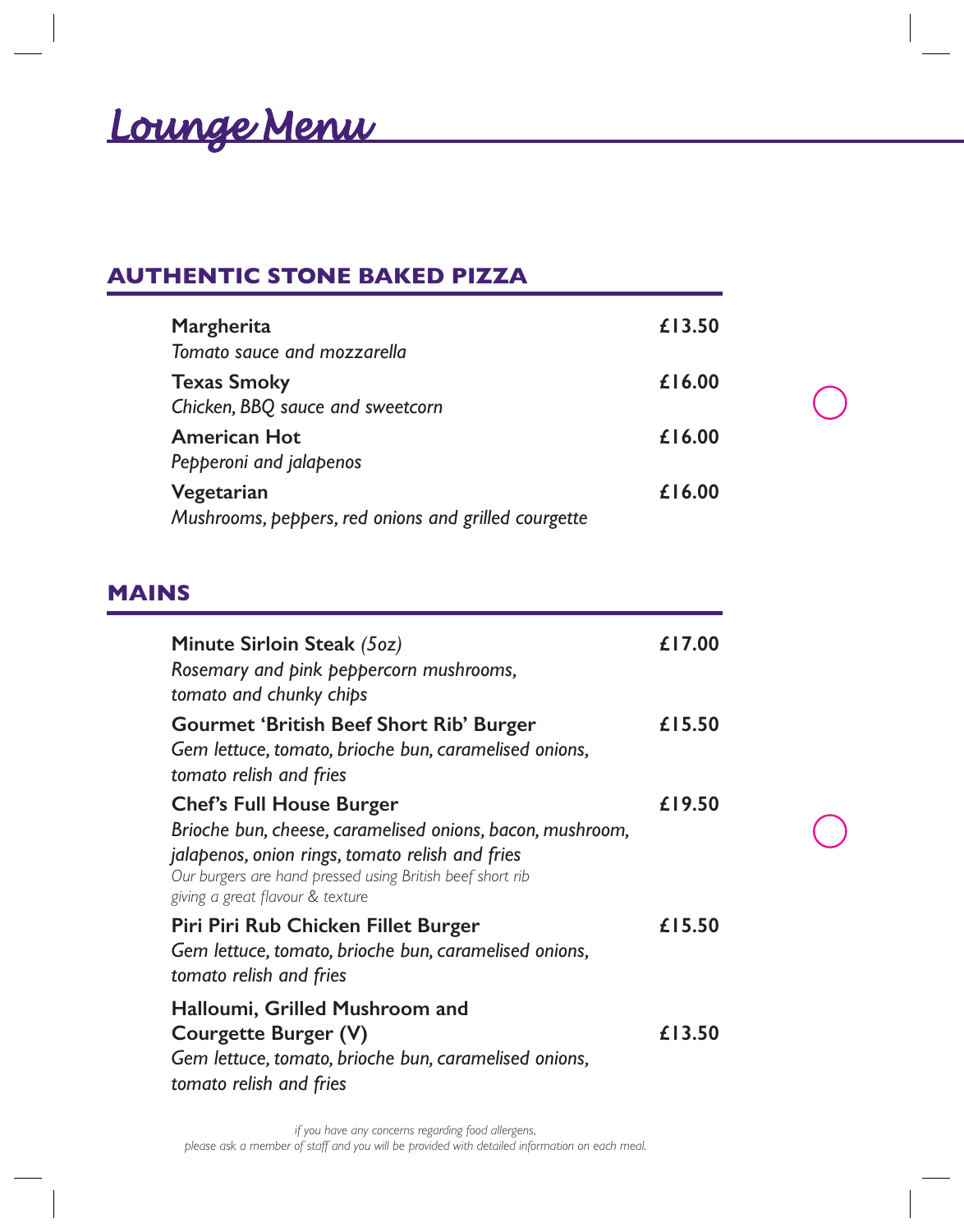# *Lounge Menu Lounge Menu*

## **AUTHENTIC STONE BAKED PIZZA**

| Margherita                                           | £13.50 |
|------------------------------------------------------|--------|
| Tomato sauce and mozzarella                          |        |
| <b>Texas Smoky</b>                                   | £16.00 |
| Chicken, BBQ sauce and sweetcorn                     |        |
| <b>American Hot</b>                                  | £16.00 |
| Pepperoni and jalapenos                              |        |
| Vegetarian                                           | £16.00 |
| Mushrooms, peppers, red onions and grilled courgette |        |

#### **MAINS**

| Minute Sirloin Steak (5oz)<br>Rosemary and pink peppercorn mushrooms,<br>tomato and chunky chips                                                                                                                                                 | £17.00 |
|--------------------------------------------------------------------------------------------------------------------------------------------------------------------------------------------------------------------------------------------------|--------|
| <b>Gourmet 'British Beef Short Rib' Burger</b><br>Gem lettuce, tomato, brioche bun, caramelised onions,<br>tomato relish and fries                                                                                                               | £15.50 |
| <b>Chef's Full House Burger</b><br>Brioche bun, cheese, caramelised onions, bacon, mushroom,<br>jalapenos, onion rings, tomato relish and fries<br>Our burgers are hand pressed using British beef short rib<br>giving a great flavour & texture | £19.50 |
| Piri Piri Rub Chicken Fillet Burger<br>Gem lettuce, tomato, brioche bun, caramelised onions,<br>tomato relish and fries                                                                                                                          | £15.50 |
| Halloumi, Grilled Mushroom and<br>Courgette Burger (V)<br>Gem lettuce, tomato, brioche bun, caramelised onions,<br>tomato relish and fries                                                                                                       | £13.50 |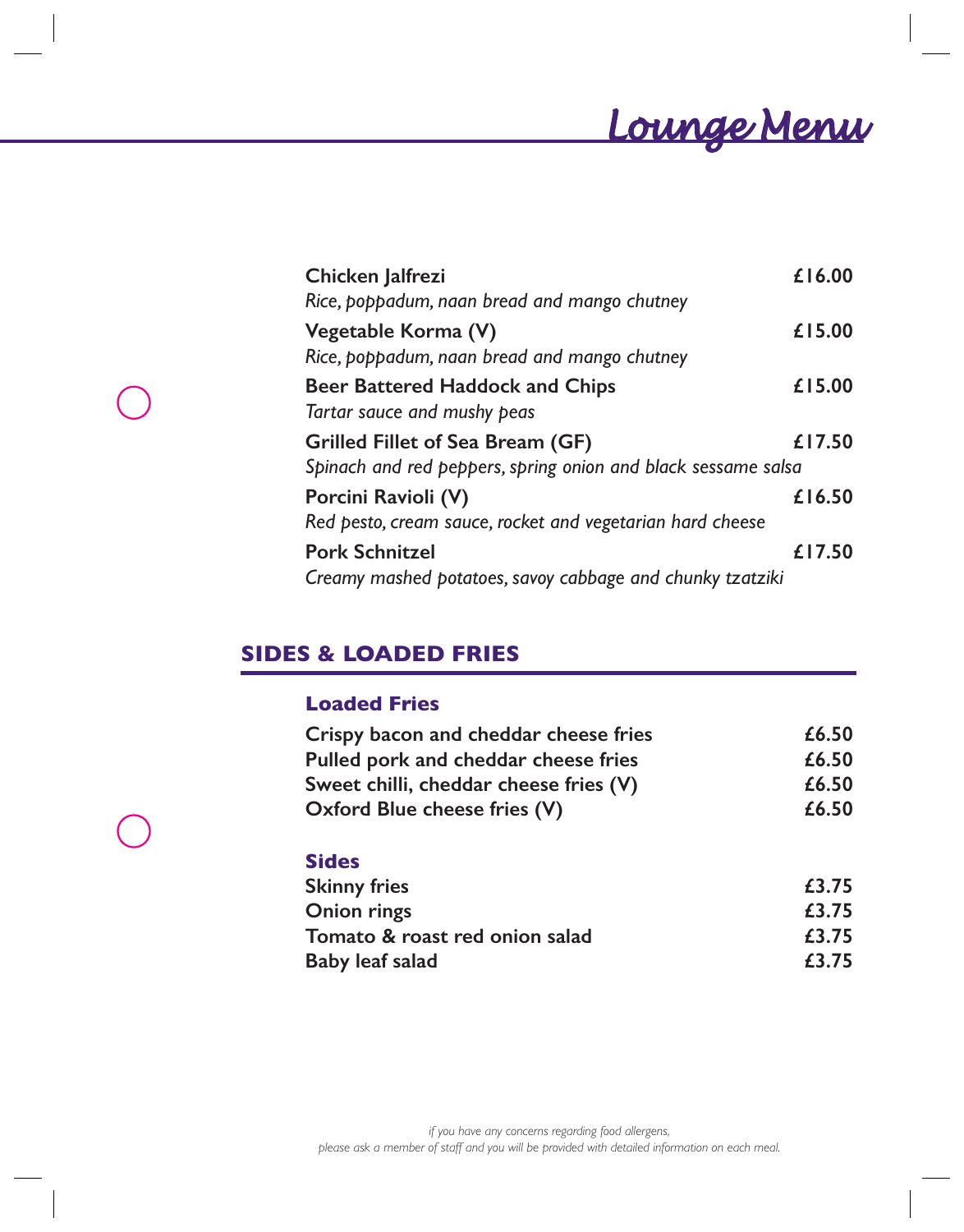*Lounge Menu Lounge Menu*

| Chicken Jalfrezi                                              | £16.00 |
|---------------------------------------------------------------|--------|
| Rice, poppadum, naan bread and mango chutney                  |        |
| Vegetable Korma (V)                                           | £15.00 |
| Rice, poppadum, naan bread and mango chutney                  |        |
| <b>Beer Battered Haddock and Chips</b>                        | £15.00 |
| Tartar sauce and mushy peas                                   |        |
| Grilled Fillet of Sea Bream (GF)                              | £17.50 |
| Spinach and red peppers, spring onion and black sessame salsa |        |
| Porcini Ravioli (V)                                           | £16.50 |
| Red pesto, cream sauce, rocket and vegetarian hard cheese     |        |
| <b>Pork Schnitzel</b>                                         | £17.50 |
| Creamy mashed potatoes, savoy cabbage and chunky tzatziki     |        |

### **SIDES & LOADED FRIES**

#### **Loaded Fries**

| Crispy bacon and cheddar cheese fries  | £6.50 |
|----------------------------------------|-------|
| Pulled pork and cheddar cheese fries   | £6.50 |
| Sweet chilli, cheddar cheese fries (V) | £6.50 |
| Oxford Blue cheese fries (V)           | £6.50 |

#### **Sides**

| <b>Skinny fries</b>            | £3.75 |
|--------------------------------|-------|
| Onion rings                    | £3.75 |
| Tomato & roast red onion salad | £3.75 |
| Baby leaf salad                | £3.75 |